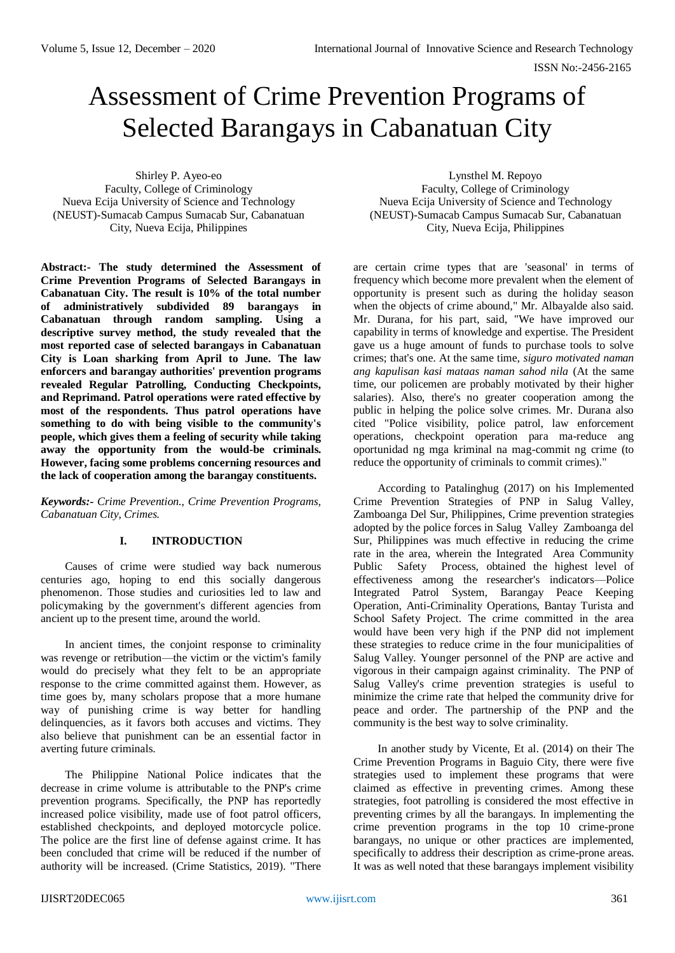# Assessment of Crime Prevention Programs of Selected Barangays in Cabanatuan City

Shirley P. Ayeo-eo Faculty, College of Criminology Nueva Ecija University of Science and Technology (NEUST)-Sumacab Campus Sumacab Sur, Cabanatuan City, Nueva Ecija, Philippines

**Abstract:- The study determined the Assessment of Crime Prevention Programs of Selected Barangays in Cabanatuan City. The result is 10% of the total number of administratively subdivided 89 barangays in Cabanatuan through random sampling. Using a descriptive survey method, the study revealed that the most reported case of selected barangays in Cabanatuan City is Loan sharking from April to June. The law enforcers and barangay authorities' prevention programs revealed Regular Patrolling, Conducting Checkpoints, and Reprimand. Patrol operations were rated effective by most of the respondents. Thus patrol operations have something to do with being visible to the community's people, which gives them a feeling of security while taking away the opportunity from the would-be criminals. However, facing some problems concerning resources and the lack of cooperation among the barangay constituents.** 

*Keywords:- Crime Prevention., Crime Prevention Programs, Cabanatuan City, Crimes.*

# **I. INTRODUCTION**

Causes of crime were studied way back numerous centuries ago, hoping to end this socially dangerous phenomenon. Those studies and curiosities led to law and policymaking by the government's different agencies from ancient up to the present time, around the world.

In ancient times, the conjoint response to criminality was revenge or retribution—the victim or the victim's family would do precisely what they felt to be an appropriate response to the crime committed against them. However, as time goes by, many scholars propose that a more humane way of punishing crime is way better for handling delinquencies, as it favors both accuses and victims. They also believe that punishment can be an essential factor in averting future criminals.

The Philippine National Police indicates that the decrease in crime volume is attributable to the PNP's crime prevention programs. Specifically, the PNP has reportedly increased police visibility, made use of foot patrol officers, established checkpoints, and deployed motorcycle police. The police are the first line of defense against crime. It has been concluded that crime will be reduced if the number of authority will be increased. (Crime Statistics, 2019). "There

Lynsthel M. Repoyo Faculty, College of Criminology Nueva Ecija University of Science and Technology (NEUST)-Sumacab Campus Sumacab Sur, Cabanatuan City, Nueva Ecija, Philippines

are certain crime types that are 'seasonal' in terms of frequency which become more prevalent when the element of opportunity is present such as during the holiday season when the objects of crime abound," Mr. Albayalde also said. Mr. Durana, for his part, said, "We have improved our capability in terms of knowledge and expertise. The President gave us a huge amount of funds to purchase tools to solve crimes; that's one. At the same time, *siguro motivated naman ang kapulisan kasi mataas naman sahod nila* (At the same time, our policemen are probably motivated by their higher salaries). Also, there's no greater cooperation among the public in helping the police solve crimes. Mr. Durana also cited "Police visibility, police patrol, law enforcement operations, checkpoint operation para ma-reduce ang oportunidad ng mga kriminal na mag-commit ng crime (to reduce the opportunity of criminals to commit crimes)."

According to Patalinghug (2017) on his Implemented Crime Prevention Strategies of PNP in Salug Valley, Zamboanga Del Sur, Philippines, Crime prevention strategies adopted by the police forces in Salug Valley Zamboanga del Sur, Philippines was much effective in reducing the crime rate in the area, wherein the Integrated Area Community Public Safety Process, obtained the highest level of effectiveness among the researcher's indicators—Police Integrated Patrol System, Barangay Peace Keeping Operation, Anti-Criminality Operations, Bantay Turista and School Safety Project. The crime committed in the area would have been very high if the PNP did not implement these strategies to reduce crime in the four municipalities of Salug Valley. Younger personnel of the PNP are active and vigorous in their campaign against criminality. The PNP of Salug Valley's crime prevention strategies is useful to minimize the crime rate that helped the community drive for peace and order. The partnership of the PNP and the community is the best way to solve criminality.

In another study by Vicente, Et al. (2014) on their The Crime Prevention Programs in Baguio City, there were five strategies used to implement these programs that were claimed as effective in preventing crimes. Among these strategies, foot patrolling is considered the most effective in preventing crimes by all the barangays. In implementing the crime prevention programs in the top 10 crime-prone barangays, no unique or other practices are implemented, specifically to address their description as crime-prone areas. It was as well noted that these barangays implement visibility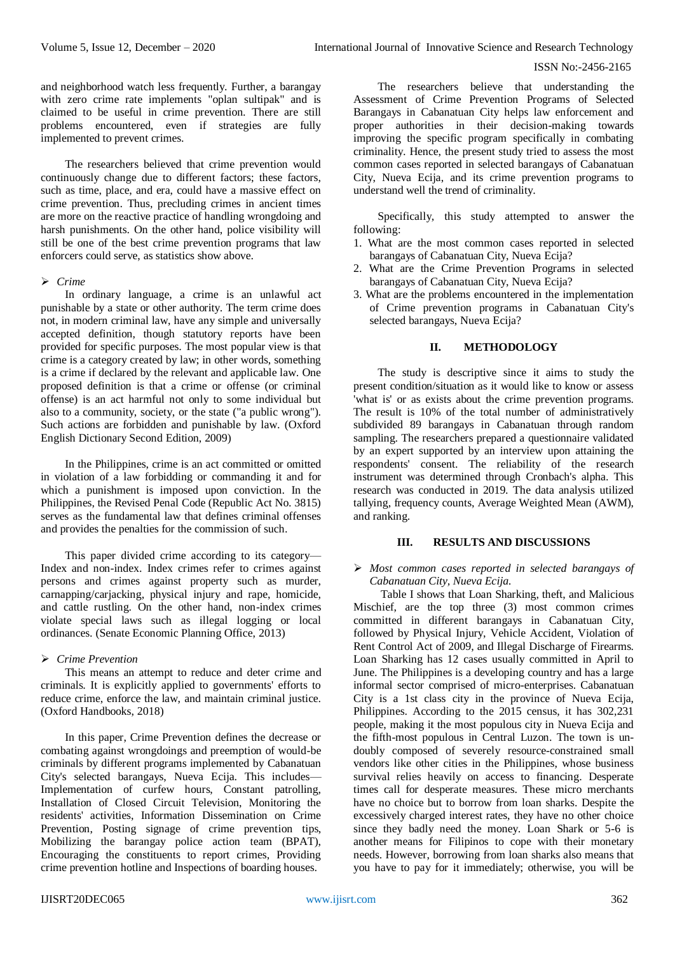and neighborhood watch less frequently. Further, a barangay with zero crime rate implements "oplan sultipak" and is claimed to be useful in crime prevention. There are still problems encountered, even if strategies are fully implemented to prevent crimes.

The researchers believed that crime prevention would continuously change due to different factors; these factors, such as time, place, and era, could have a massive effect on crime prevention. Thus, precluding crimes in ancient times are more on the reactive practice of handling wrongdoing and harsh punishments. On the other hand, police visibility will still be one of the best crime prevention programs that law enforcers could serve, as statistics show above.

## *Crime*

In ordinary language, a crime is an unlawful act punishable by a state or other authority. The term crime does not, in modern criminal law, have any simple and universally accepted definition, though statutory reports have been provided for specific purposes. The most popular view is that crime is a category created by law; in other words, something is a crime if declared by the relevant and applicable law. One proposed definition is that a crime or offense (or criminal offense) is an act harmful not only to some individual but also to a community, society, or the state ("a public wrong"). Such actions are forbidden and punishable by law. (Oxford English Dictionary Second Edition, 2009)

In the Philippines, crime is an act committed or omitted in violation of a law forbidding or commanding it and for which a punishment is imposed upon conviction. In the Philippines, the Revised Penal Code (Republic Act No. 3815) serves as the fundamental law that defines criminal offenses and provides the penalties for the commission of such.

This paper divided crime according to its category— Index and non-index. Index crimes refer to crimes against persons and crimes against property such as murder, carnapping/carjacking, physical injury and rape, homicide, and cattle rustling. On the other hand, non-index crimes violate special laws such as illegal logging or local ordinances. (Senate Economic Planning Office, 2013)

# *Crime Prevention*

This means an attempt to reduce and deter crime and criminals. It is explicitly applied to governments' efforts to reduce crime, enforce the law, and maintain criminal justice. (Oxford Handbooks, 2018)

In this paper, Crime Prevention defines the decrease or combating against wrongdoings and preemption of would-be criminals by different programs implemented by Cabanatuan City's selected barangays, Nueva Ecija. This includes— Implementation of curfew hours, Constant patrolling, Installation of Closed Circuit Television, Monitoring the residents' activities, Information Dissemination on Crime Prevention, Posting signage of crime prevention tips, Mobilizing the barangay police action team (BPAT), Encouraging the constituents to report crimes, Providing crime prevention hotline and Inspections of boarding houses.

The researchers believe that understanding the Assessment of Crime Prevention Programs of Selected Barangays in Cabanatuan City helps law enforcement and proper authorities in their decision-making towards improving the specific program specifically in combating criminality. Hence, the present study tried to assess the most common cases reported in selected barangays of Cabanatuan City, Nueva Ecija, and its crime prevention programs to understand well the trend of criminality.

Specifically, this study attempted to answer the following:

- 1. What are the most common cases reported in selected barangays of Cabanatuan City, Nueva Ecija?
- 2. What are the Crime Prevention Programs in selected barangays of Cabanatuan City, Nueva Ecija?
- 3. What are the problems encountered in the implementation of Crime prevention programs in Cabanatuan City's selected barangays, Nueva Ecija?

# **II. METHODOLOGY**

The study is descriptive since it aims to study the present condition/situation as it would like to know or assess 'what is' or as exists about the crime prevention programs. The result is 10% of the total number of administratively subdivided 89 barangays in Cabanatuan through random sampling. The researchers prepared a questionnaire validated by an expert supported by an interview upon attaining the respondents' consent. The reliability of the research instrument was determined through Cronbach's alpha. This research was conducted in 2019. The data analysis utilized tallying, frequency counts, Average Weighted Mean (AWM), and ranking.

#### **III. RESULTS AND DISCUSSIONS**

## *Most common cases reported in selected barangays of Cabanatuan City, Nueva Ecija.*

Table I shows that Loan Sharking, theft, and Malicious Mischief, are the top three (3) most common crimes committed in different barangays in Cabanatuan City, followed by Physical Injury, Vehicle Accident, Violation of Rent Control Act of 2009, and Illegal Discharge of Firearms. Loan Sharking has 12 cases usually committed in April to June. The Philippines is a developing country and has a large informal sector comprised of micro-enterprises. Cabanatuan City is a 1st class city in the province of Nueva Ecija, Philippines. According to the 2015 census, it has 302,231 people, making it the most populous city in Nueva Ecija and the fifth-most populous in Central Luzon. The town is undoubly composed of severely resource-constrained small vendors like other cities in the Philippines, whose business survival relies heavily on access to financing. Desperate times call for desperate measures. These micro merchants have no choice but to borrow from loan sharks. Despite the excessively charged interest rates, they have no other choice since they badly need the money. Loan Shark or 5-6 is another means for Filipinos to cope with their monetary needs. However, borrowing from loan sharks also means that you have to pay for it immediately; otherwise, you will be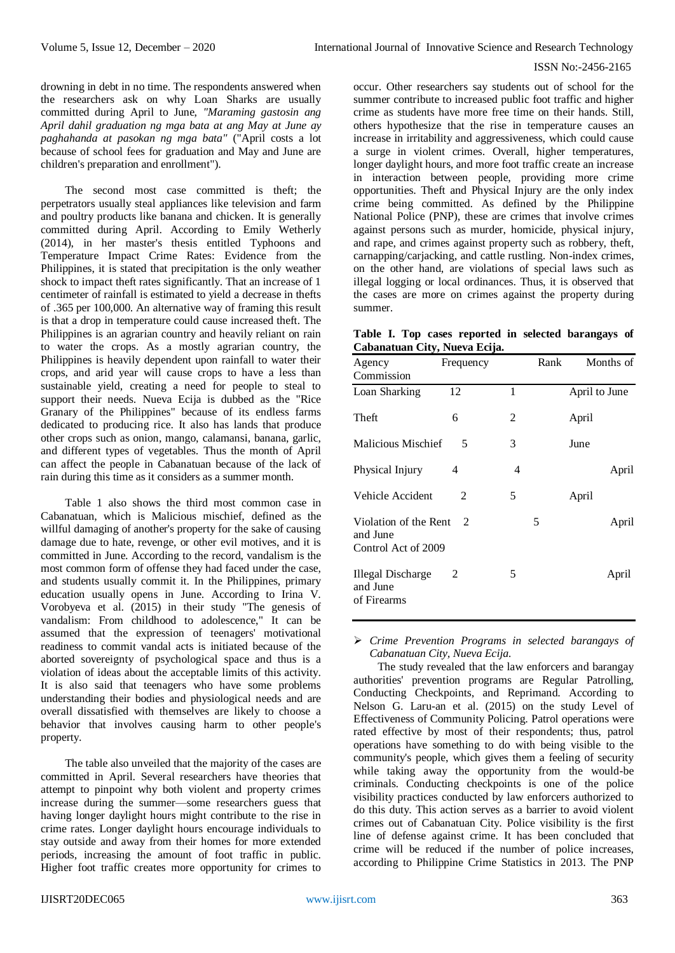drowning in debt in no time. The respondents answered when the researchers ask on why Loan Sharks are usually committed during April to June, *"Maraming gastosin ang April dahil graduation ng mga bata at ang May at June ay paghahanda at pasokan ng mga bata"* ("April costs a lot because of school fees for graduation and May and June are children's preparation and enrollment").

The second most case committed is theft; the perpetrators usually steal appliances like television and farm and poultry products like banana and chicken. It is generally committed during April. According to Emily Wetherly (2014), in her master's thesis entitled Typhoons and Temperature Impact Crime Rates: Evidence from the Philippines, it is stated that precipitation is the only weather shock to impact theft rates significantly. That an increase of 1 centimeter of rainfall is estimated to yield a decrease in thefts of .365 per 100,000. An alternative way of framing this result is that a drop in temperature could cause increased theft. The Philippines is an agrarian country and heavily reliant on rain to water the crops. As a mostly agrarian country, the Philippines is heavily dependent upon rainfall to water their crops, and arid year will cause crops to have a less than sustainable yield, creating a need for people to steal to support their needs. Nueva Ecija is dubbed as the "Rice Granary of the Philippines" because of its endless farms dedicated to producing rice. It also has lands that produce other crops such as onion, mango, calamansi, banana, garlic, and different types of vegetables. Thus the month of April can affect the people in Cabanatuan because of the lack of rain during this time as it considers as a summer month.

Table 1 also shows the third most common case in Cabanatuan, which is Malicious mischief, defined as the willful damaging of another's property for the sake of causing damage due to hate, revenge, or other evil motives, and it is committed in June. According to the record, vandalism is the most common form of offense they had faced under the case, and students usually commit it. In the Philippines, primary education usually opens in June. According to Irina V. Vorobyeva et al. (2015) in their study "The genesis of vandalism: From childhood to adolescence," It can be assumed that the expression of teenagers' motivational readiness to commit vandal acts is initiated because of the aborted sovereignty of psychological space and thus is a violation of ideas about the acceptable limits of this activity. It is also said that teenagers who have some problems understanding their bodies and physiological needs and are overall dissatisfied with themselves are likely to choose a behavior that involves causing harm to other people's property.

The table also unveiled that the majority of the cases are committed in April. Several researchers have theories that attempt to pinpoint why both violent and property crimes increase during the summer—some researchers guess that having longer daylight hours might contribute to the rise in crime rates. Longer daylight hours encourage individuals to stay outside and away from their homes for more extended periods, increasing the amount of foot traffic in public. Higher foot traffic creates more opportunity for crimes to occur. Other researchers say students out of school for the summer contribute to increased public foot traffic and higher crime as students have more free time on their hands. Still, others hypothesize that the rise in temperature causes an increase in irritability and aggressiveness, which could cause a surge in violent crimes. Overall, higher temperatures, longer daylight hours, and more foot traffic create an increase in interaction between people, providing more crime opportunities. Theft and Physical Injury are the only index crime being committed. As defined by the Philippine National Police (PNP), these are crimes that involve crimes against persons such as murder, homicide, physical injury, and rape, and crimes against property such as robbery, theft, carnapping/carjacking, and cattle rustling. Non-index crimes, on the other hand, are violations of special laws such as illegal logging or local ordinances. Thus, it is observed that the cases are more on crimes against the property during summer.

**Table I. Top cases reported in selected barangays of Cabanatuan City, Nueva Ecija.**

| Agency<br>Commission                                     | Frequency      |   | Rank | Months of     |
|----------------------------------------------------------|----------------|---|------|---------------|
| Loan Sharking                                            | 12             | 1 |      | April to June |
| Theft                                                    | 6              | 2 |      | April         |
| Malicious Mischief                                       | 5              | 3 |      | June          |
| Physical Injury                                          | 4              | 4 |      | April         |
| Vehicle Accident                                         | 2              | 5 |      | April         |
| Violation of the Rent<br>and June<br>Control Act of 2009 | $\mathfrak{D}$ |   | 5    | April         |
| Illegal Discharge<br>and June<br>of Firearms             | 2              | 5 |      | April         |

 *Crime Prevention Programs in selected barangays of Cabanatuan City, Nueva Ecija.*

The study revealed that the law enforcers and barangay authorities' prevention programs are Regular Patrolling, Conducting Checkpoints, and Reprimand. According to Nelson G. Laru-an et al. (2015) on the study Level of Effectiveness of Community Policing. Patrol operations were rated effective by most of their respondents; thus, patrol operations have something to do with being visible to the community's people, which gives them a feeling of security while taking away the opportunity from the would-be criminals. Conducting checkpoints is one of the police visibility practices conducted by law enforcers authorized to do this duty. This action serves as a barrier to avoid violent crimes out of Cabanatuan City. Police visibility is the first line of defense against crime. It has been concluded that crime will be reduced if the number of police increases, according to Philippine Crime Statistics in 2013. The PNP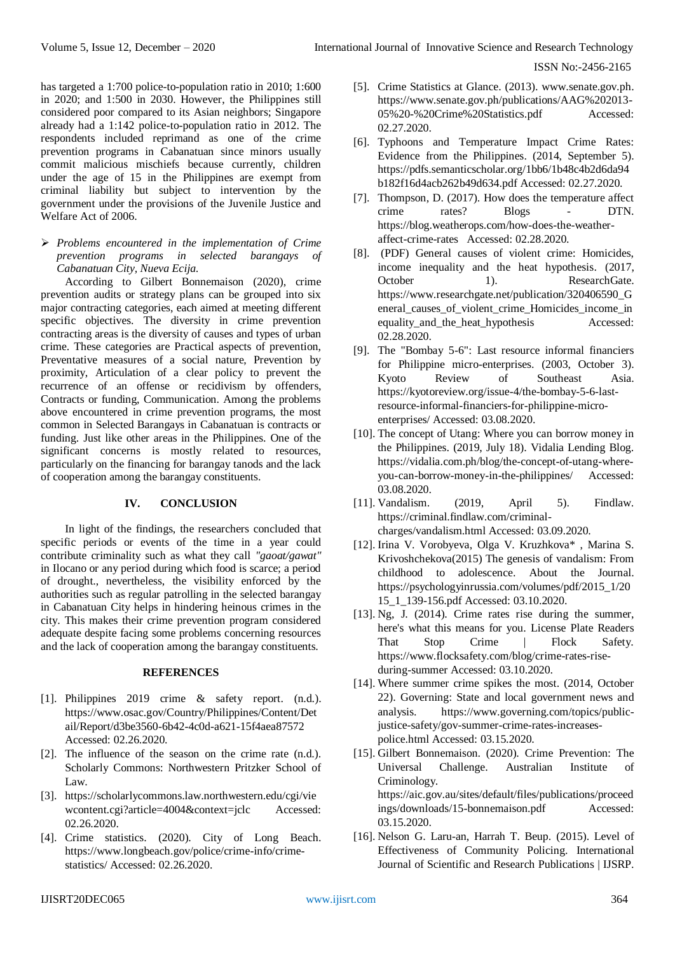has targeted a 1:700 police-to-population ratio in 2010; 1:600 in 2020; and 1:500 in 2030. However, the Philippines still considered poor compared to its Asian neighbors; Singapore already had a 1:142 police-to-population ratio in 2012. The respondents included reprimand as one of the crime prevention programs in Cabanatuan since minors usually commit malicious mischiefs because currently, children under the age of 15 in the Philippines are exempt from criminal liability but subject to intervention by the government under the provisions of the Juvenile Justice and Welfare Act of 2006.

 *Problems encountered in the implementation of Crime prevention programs in selected barangays of Cabanatuan City, Nueva Ecija.*

According to Gilbert Bonnemaison (2020), crime prevention audits or strategy plans can be grouped into six major contracting categories, each aimed at meeting different specific objectives. The diversity in crime prevention contracting areas is the diversity of causes and types of urban crime. These categories are Practical aspects of prevention, Preventative measures of a social nature, Prevention by proximity, Articulation of a clear policy to prevent the recurrence of an offense or recidivism by offenders, Contracts or funding, Communication. Among the problems above encountered in crime prevention programs, the most common in Selected Barangays in Cabanatuan is contracts or funding. Just like other areas in the Philippines. One of the significant concerns is mostly related to resources, particularly on the financing for barangay tanods and the lack of cooperation among the barangay constituents.

# **IV. CONCLUSION**

In light of the findings, the researchers concluded that specific periods or events of the time in a year could contribute criminality such as what they call *"gaoat/gawat"*  in Ilocano or any period during which food is scarce; a period of drought., nevertheless, the visibility enforced by the authorities such as regular patrolling in the selected barangay in Cabanatuan City helps in hindering heinous crimes in the city. This makes their crime prevention program considered adequate despite facing some problems concerning resources and the lack of cooperation among the barangay constituents.

# **REFERENCES**

- [1]. Philippines 2019 crime & safety report. (n.d.). [https://www.osac.gov/Country/Philippines/Content/Det](https://www.osac.gov/Country/Philippines/Content/Detail/Report/d3be3560-6b42-4c0d-a621-15f4aea87572) [ail/Report/d3be3560-6b42-4c0d-a621-15f4aea87572](https://www.osac.gov/Country/Philippines/Content/Detail/Report/d3be3560-6b42-4c0d-a621-15f4aea87572) Accessed: 02.26.2020.
- [2]. The influence of the season on the crime rate (n.d.). Scholarly Commons: Northwestern Pritzker School of Law.
- [3]. [https://scholarlycommons.law.northwestern.edu/cgi/vie](https://scholarlycommons.law.northwestern.edu/cgi/viewcontent.cgi?article=4004&context=jclc) [wcontent.cgi?article=4004&context=jclc](https://scholarlycommons.law.northwestern.edu/cgi/viewcontent.cgi?article=4004&context=jclc) Accessed: 02.26.2020.
- [4]. Crime statistics. (2020). City of Long Beach. [https://www.longbeach.gov/police/crime-info/crime](https://www.longbeach.gov/police/crime-info/crime-statistics/)[statistics/](https://www.longbeach.gov/police/crime-info/crime-statistics/) Accessed: 02.26.2020.
- [5]. Crime Statistics at Glance. (2013). www.senate.gov.ph. [https://www.senate.gov.ph/publications/AAG%202013-](https://www.senate.gov.ph/publications/AAG%202013-05%20-%20Crime%20Statistics.pdf) [05%20-%20Crime%20Statistics.pdf](https://www.senate.gov.ph/publications/AAG%202013-05%20-%20Crime%20Statistics.pdf) Accessed: 02.27.2020.
- [6]. Typhoons and Temperature Impact Crime Rates: Evidence from the Philippines. (2014, September 5). [https://pdfs.semanticscholar.org/1bb6/1b48c4b2d6da94](https://pdfs.semanticscholar.org/1bb6/1b48c4b2d6da94b182f16d4acb262b49d634.pdf) [b182f16d4acb262b49d634.pdf](https://pdfs.semanticscholar.org/1bb6/1b48c4b2d6da94b182f16d4acb262b49d634.pdf) Accessed: 02.27.2020.
- [7]. Thompson, D. (2017). How does the temperature affect crime rates? Blogs - DTN. [https://blog.weatherops.com/how-does-the-weather](https://blog.weatherops.com/how-does-the-weather-affect-crime-rates%20%2002.28.2020)[affect-crime-rates](https://blog.weatherops.com/how-does-the-weather-affect-crime-rates%20%2002.28.2020) Accessed: 02.28.2020.
- [8]. (PDF) General causes of violent crime: Homicides, income inequality and the heat hypothesis. (2017, October 1). ResearchGate. [https://www.researchgate.net/publication/320406590\\_G](https://www.researchgate.net/publication/320406590_General_causes_of_violent_crime_Homicides_income_inequality_and_the_heat_hypothesis) [eneral\\_causes\\_of\\_violent\\_crime\\_Homicides\\_income\\_in](https://www.researchgate.net/publication/320406590_General_causes_of_violent_crime_Homicides_income_inequality_and_the_heat_hypothesis) [equality\\_and\\_the\\_heat\\_hypothesis](https://www.researchgate.net/publication/320406590_General_causes_of_violent_crime_Homicides_income_inequality_and_the_heat_hypothesis) Accessed: 02.28.2020.
- [9]. The "Bombay 5-6": Last resource informal financiers for Philippine micro-enterprises. (2003, October 3). Kyoto Review of Southeast Asia. [https://kyotoreview.org/issue-4/the-bombay-5-6-last](https://kyotoreview.org/issue-4/the-bombay-5-6-last-resource-informal-financiers-for-philippine-micro-enterprises/)[resource-informal-financiers-for-philippine-micro](https://kyotoreview.org/issue-4/the-bombay-5-6-last-resource-informal-financiers-for-philippine-micro-enterprises/)[enterprises/](https://kyotoreview.org/issue-4/the-bombay-5-6-last-resource-informal-financiers-for-philippine-micro-enterprises/) Accessed: 03.08.2020.
- [10]. The concept of Utang: Where you can borrow money in the Philippines. (2019, July 18). Vidalia Lending Blog. [https://vidalia.com.ph/blog/the-concept-of-utang-where](https://vidalia.com.ph/blog/the-concept-of-utang-where-you-can-borrow-money-in-the-philippines/)[you-can-borrow-money-in-the-philippines/](https://vidalia.com.ph/blog/the-concept-of-utang-where-you-can-borrow-money-in-the-philippines/) Accessed: 03.08.2020.
- [11]. Vandalism. (2019, April 5). Findlaw. [https://criminal.findlaw.com/criminal](https://criminal.findlaw.com/criminal-charges/vandalism.html)[charges/vandalism.html](https://criminal.findlaw.com/criminal-charges/vandalism.html) Accessed: 03.09.2020.
- [12]. Irina V. Vorobyeva, Olga V. Kruzhkova\* , Marina S. Krivoshchekova(2015) The genesis of vandalism: From childhood to adolescence. About the Journal. [https://psychologyinrussia.com/volumes/pdf/2015\\_1/20](https://psychologyinrussia.com/volumes/pdf/2015_1/2015_1_139-156.pdf) [15\\_1\\_139-156.pdf](https://psychologyinrussia.com/volumes/pdf/2015_1/2015_1_139-156.pdf) Accessed: 03.10.2020.
- [13]. Ng, J. (2014). Crime rates rise during the summer, here's what this means for you. License Plate Readers That Stop Crime | Flock Safety. [https://www.flocksafety.com/blog/crime-rates-rise](https://www.flocksafety.com/blog/crime-rates-rise-during-summer)[during-summer](https://www.flocksafety.com/blog/crime-rates-rise-during-summer) Accessed: 03.10.2020.
- [14]. Where summer crime spikes the most. (2014, October 22). Governing: State and local government news and analysis. [https://www.governing.com/topics/public](https://www.governing.com/topics/public-justice-safety/gov-summer-crime-rates-increases-police.html)[justice-safety/gov-summer-crime-rates-increases](https://www.governing.com/topics/public-justice-safety/gov-summer-crime-rates-increases-police.html)[police.html](https://www.governing.com/topics/public-justice-safety/gov-summer-crime-rates-increases-police.html) Accessed: 03.15.2020.
- [15]. Gilbert Bonnemaison. (2020). Crime Prevention: The Universal Challenge. Australian Institute of Criminology. [https://aic.gov.au/sites/default/files/publications/proceed](https://aic.gov.au/sites/default/files/publications/proceedings/downloads/15-bonnemaison.pdf) [ings/downloads/15-bonnemaison.pdf](https://aic.gov.au/sites/default/files/publications/proceedings/downloads/15-bonnemaison.pdf) Accessed: 03.15.2020.
- [16]. Nelson G. Laru-an, Harrah T. Beup. (2015). Level of Effectiveness of Community Policing. International Journal of Scientific and Research Publications | IJSRP.